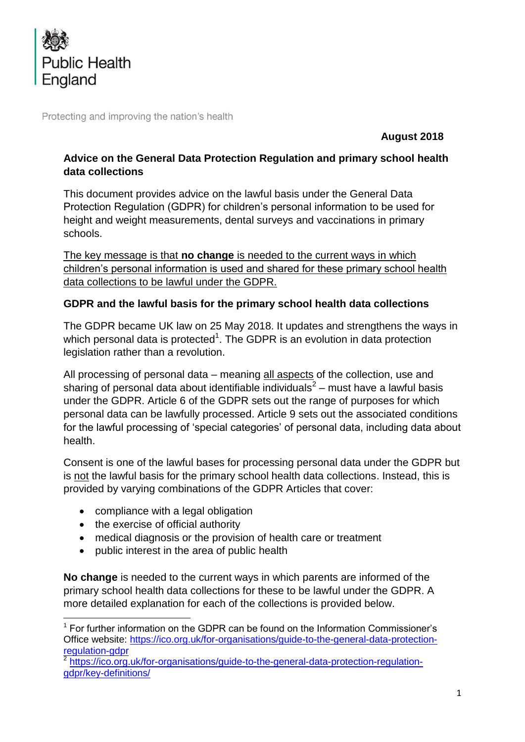

Protecting and improving the nation's health

**August 2018**

### **Advice on the General Data Protection Regulation and primary school health data collections**

This document provides advice on the lawful basis under the General Data Protection Regulation (GDPR) for children's personal information to be used for height and weight measurements, dental surveys and vaccinations in primary schools.

The key message is that **no change** is needed to the current ways in which children's personal information is used and shared for these primary school health data collections to be lawful under the GDPR.

### **GDPR and the lawful basis for the primary school health data collections**

The GDPR became UK law on 25 May 2018. It updates and strengthens the ways in which personal data is protected<sup>1</sup>. The GDPR is an evolution in data protection legislation rather than a revolution.

All processing of personal data – meaning all aspects of the collection, use and sharing of personal data about identifiable individuals<sup>2</sup> – must have a lawful basis under the GDPR. Article 6 of the GDPR sets out the range of purposes for which personal data can be lawfully processed. Article 9 sets out the associated conditions for the lawful processing of 'special categories' of personal data, including data about health.

Consent is one of the lawful bases for processing personal data under the GDPR but is not the lawful basis for the primary school health data collections. Instead, this is provided by varying combinations of the GDPR Articles that cover:

- compliance with a legal obligation
- the exercise of official authority
- medical diagnosis or the provision of health care or treatment
- public interest in the area of public health

**No change** is needed to the current ways in which parents are informed of the primary school health data collections for these to be lawful under the GDPR. A more detailed explanation for each of the collections is provided below.

**<sup>.</sup>**  $<sup>1</sup>$  For further information on the GDPR can be found on the Information Commissioner's</sup> Office website: [https://ico.org.uk/for-organisations/guide-to-the-general-data-protection](https://ico.org.uk/for-organisations/guide-to-the-general-data-protection-regulation-gdpr)[regulation-gdpr](https://ico.org.uk/for-organisations/guide-to-the-general-data-protection-regulation-gdpr)

<sup>&</sup>lt;sup>2</sup> [https://ico.org.uk/for-organisations/guide-to-the-general-data-protection-regulation](https://ico.org.uk/for-organisations/guide-to-the-general-data-protection-regulation-gdpr/key-definitions/)[gdpr/key-definitions/](https://ico.org.uk/for-organisations/guide-to-the-general-data-protection-regulation-gdpr/key-definitions/)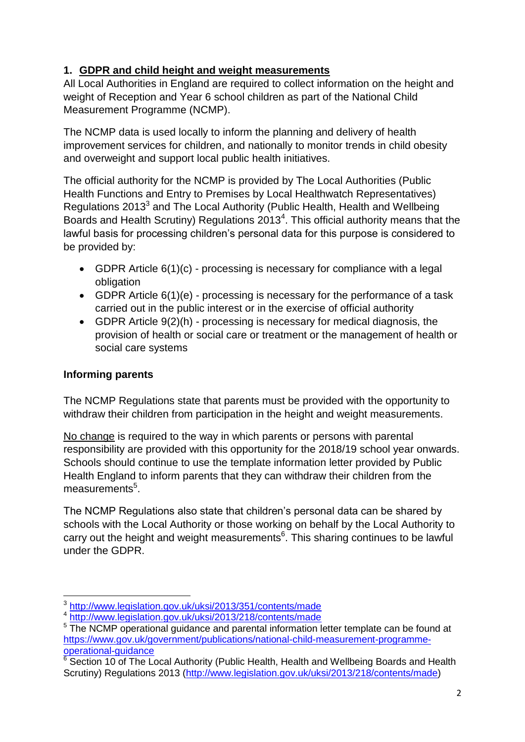## **1. GDPR and child height and weight measurements**

All Local Authorities in England are required to collect information on the height and weight of Reception and Year 6 school children as part of the National Child Measurement Programme (NCMP).

The NCMP data is used locally to inform the planning and delivery of health improvement services for children, and nationally to monitor trends in child obesity and overweight and support local public health initiatives.

The official authority for the NCMP is provided by The Local Authorities (Public Health Functions and Entry to Premises by Local Healthwatch Representatives) Regulations 2013<sup>3</sup> and The Local Authority (Public Health, Health and Wellbeing Boards and Health Scrutiny) Regulations 2013<sup>4</sup>. This official authority means that the lawful basis for processing children's personal data for this purpose is considered to be provided by:

- GDPR Article 6(1)(c) processing is necessary for compliance with a legal obligation
- GDPR Article 6(1)(e) processing is necessary for the performance of a task carried out in the public interest or in the exercise of official authority
- GDPR Article 9(2)(h) processing is necessary for medical diagnosis, the provision of health or social care or treatment or the management of health or social care systems

## **Informing parents**

The NCMP Regulations state that parents must be provided with the opportunity to withdraw their children from participation in the height and weight measurements.

No change is required to the way in which parents or persons with parental responsibility are provided with this opportunity for the 2018/19 school year onwards. Schools should continue to use the template information letter provided by Public Health England to inform parents that they can withdraw their children from the measurements<sup>5</sup>.

The NCMP Regulations also state that children's personal data can be shared by schools with the Local Authority or those working on behalf by the Local Authority to carry out the height and weight measurements<sup>6</sup>. This sharing continues to be lawful under the GDPR.

 3 <http://www.legislation.gov.uk/uksi/2013/351/contents/made>

<sup>&</sup>lt;sup>4</sup> <http://www.legislation.gov.uk/uksi/2013/218/contents/made>

<sup>&</sup>lt;sup>5</sup> The NCMP operational quidance and parental information letter template can be found at [https://www.gov.uk/government/publications/national-child-measurement-programme](https://www.gov.uk/government/publications/national-child-measurement-programme-operational-guidance)[operational-guidance](https://www.gov.uk/government/publications/national-child-measurement-programme-operational-guidance)

 $6$  Section 10 of The Local Authority (Public Health, Health and Wellbeing Boards and Health Scrutiny) Regulations 2013 [\(http://www.legislation.gov.uk/uksi/2013/218/contents/made\)](http://www.legislation.gov.uk/uksi/2013/218/contents/made)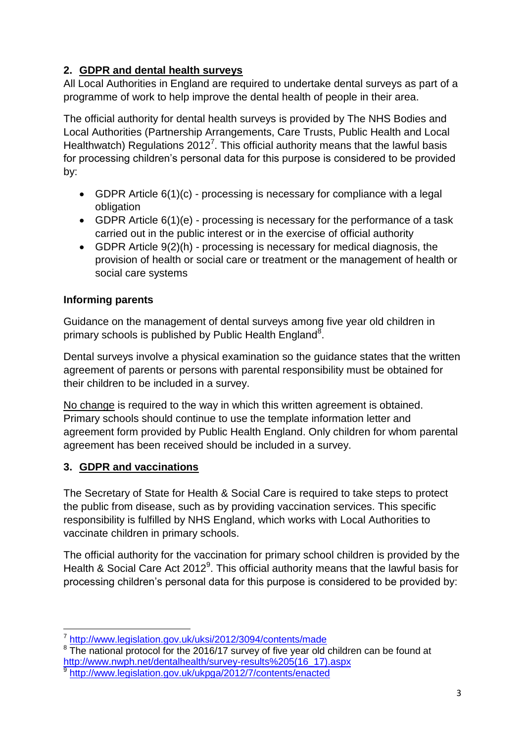# **2. GDPR and dental health surveys**

All Local Authorities in England are required to undertake dental surveys as part of a programme of work to help improve the dental health of people in their area.

The official authority for dental health surveys is provided by The NHS Bodies and Local Authorities (Partnership Arrangements, Care Trusts, Public Health and Local Healthwatch) Regulations 2012<sup>7</sup>. This official authority means that the lawful basis for processing children's personal data for this purpose is considered to be provided by:

- GDPR Article 6(1)(c) processing is necessary for compliance with a legal obligation
- GDPR Article 6(1)(e) processing is necessary for the performance of a task carried out in the public interest or in the exercise of official authority
- GDPR Article 9(2)(h) processing is necessary for medical diagnosis, the provision of health or social care or treatment or the management of health or social care systems

# **Informing parents**

Guidance on the management of dental surveys among five year old children in primary schools is published by Public Health England<sup>8</sup>.

Dental surveys involve a physical examination so the guidance states that the written agreement of parents or persons with parental responsibility must be obtained for their children to be included in a survey.

No change is required to the way in which this written agreement is obtained. Primary schools should continue to use the template information letter and agreement form provided by Public Health England. Only children for whom parental agreement has been received should be included in a survey.

# **3. GDPR and vaccinations**

The Secretary of State for Health & Social Care is required to take steps to protect the public from disease, such as by providing vaccination services. This specific responsibility is fulfilled by NHS England, which works with Local Authorities to vaccinate children in primary schools.

The official authority for the vaccination for primary school children is provided by the Health & Social Care Act 2012<sup>9</sup>. This official authority means that the lawful basis for processing children's personal data for this purpose is considered to be provided by:

 7 <http://www.legislation.gov.uk/uksi/2012/3094/contents/made>

 $8\overline{}$  The national protocol for the 2016/17 survey of five year old children can be found at [http://www.nwph.net/dentalhealth/survey-results%205\(16\\_17\).aspx](http://www.nwph.net/dentalhealth/survey-results%205(16_17).aspx)  $\overline{9}$